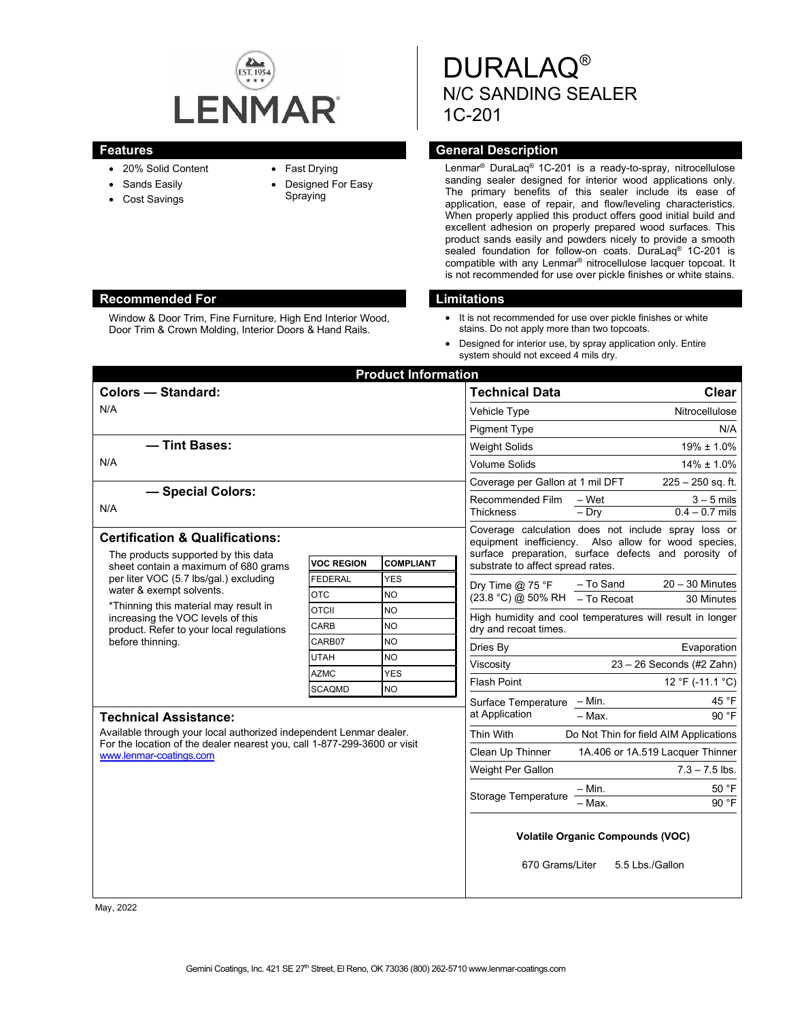

Window & Door Trim, Fine Furniture, High End Interior Wood, Door Trim & Crown Molding, Interior Doors & Hand Rails.

- 20% Solid Content
- Sands Easily
- Cost Savings
- Fast Drying
- Designed For Easy Spraying

DURALAQ® N/C SANDING SEALER 1C-201

## **Features Features General Description**

Lenmar® DuraLaq® 1C-201 is a ready-to-spray, nitrocellulose sanding sealer designed for interior wood applications only. The primary benefits of this sealer include its ease of application, ease of repair, and flow/leveling characteristics. When properly applied this product offers good initial build and excellent adhesion on properly prepared wood surfaces. This product sands easily and powders nicely to provide a smooth sealed foundation for follow-on coats. DuraLaq<sup>®</sup> 1C-201 is compatible with any Lenmar® nitrocellulose lacquer topcoat. It is not recommended for use over pickle finishes or white stains.

## **Recommended For Limitations**

- It is not recommended for use over pickle finishes or white stains. Do not apply more than two topcoats.
- Designed for interior use, by spray application only. Entire system should not exceed 4 mils dry.

| <b>Colors - Standard:</b><br><b>Technical Data</b><br>N/A<br>Vehicle Type<br><b>Pigment Type</b><br>- Tint Bases:<br><b>Weight Solids</b><br>N/A<br><b>Volume Solids</b><br>Coverage per Gallon at 1 mil DFT<br>- Special Colors:<br>Recommended Film<br>$-$ Wet<br>N/A<br><b>Thickness</b><br>$-$ Dry<br>Coverage calculation does not include spray loss or<br><b>Certification &amp; Qualifications:</b><br>equipment inefficiency. Also allow for wood species,<br>The products supported by this data<br><b>VOC REGION</b><br><b>COMPLIANT</b><br>substrate to affect spread rates.<br>sheet contain a maximum of 680 grams<br>per liter VOC (5.7 lbs/gal.) excluding<br><b>FEDERAL</b><br><b>YES</b><br>- To Sand<br>Dry Time $@$ 75 °F<br>water & exempt solvents.<br><b>OTC</b><br>NO<br>$(23.8 °C) @ 50% RH$ - To Recoat | <b>Product Information</b>                           |  |  |
|-----------------------------------------------------------------------------------------------------------------------------------------------------------------------------------------------------------------------------------------------------------------------------------------------------------------------------------------------------------------------------------------------------------------------------------------------------------------------------------------------------------------------------------------------------------------------------------------------------------------------------------------------------------------------------------------------------------------------------------------------------------------------------------------------------------------------------------|------------------------------------------------------|--|--|
|                                                                                                                                                                                                                                                                                                                                                                                                                                                                                                                                                                                                                                                                                                                                                                                                                                   | <b>Clear</b>                                         |  |  |
|                                                                                                                                                                                                                                                                                                                                                                                                                                                                                                                                                                                                                                                                                                                                                                                                                                   | Nitrocellulose                                       |  |  |
|                                                                                                                                                                                                                                                                                                                                                                                                                                                                                                                                                                                                                                                                                                                                                                                                                                   | N/A                                                  |  |  |
|                                                                                                                                                                                                                                                                                                                                                                                                                                                                                                                                                                                                                                                                                                                                                                                                                                   | $19\% \pm 1.0\%$                                     |  |  |
|                                                                                                                                                                                                                                                                                                                                                                                                                                                                                                                                                                                                                                                                                                                                                                                                                                   | $14\% \pm 1.0\%$                                     |  |  |
|                                                                                                                                                                                                                                                                                                                                                                                                                                                                                                                                                                                                                                                                                                                                                                                                                                   | $225 - 250$ sq. ft.                                  |  |  |
|                                                                                                                                                                                                                                                                                                                                                                                                                                                                                                                                                                                                                                                                                                                                                                                                                                   | $3 - 5$ mils                                         |  |  |
|                                                                                                                                                                                                                                                                                                                                                                                                                                                                                                                                                                                                                                                                                                                                                                                                                                   | $0.4 - 0.7$ mils                                     |  |  |
|                                                                                                                                                                                                                                                                                                                                                                                                                                                                                                                                                                                                                                                                                                                                                                                                                                   |                                                      |  |  |
|                                                                                                                                                                                                                                                                                                                                                                                                                                                                                                                                                                                                                                                                                                                                                                                                                                   | surface preparation, surface defects and porosity of |  |  |
|                                                                                                                                                                                                                                                                                                                                                                                                                                                                                                                                                                                                                                                                                                                                                                                                                                   |                                                      |  |  |
|                                                                                                                                                                                                                                                                                                                                                                                                                                                                                                                                                                                                                                                                                                                                                                                                                                   | $20 - 30$ Minutes                                    |  |  |
|                                                                                                                                                                                                                                                                                                                                                                                                                                                                                                                                                                                                                                                                                                                                                                                                                                   | 30 Minutes                                           |  |  |
| *Thinning this material may result in<br><b>OTCII</b><br><b>NO</b><br>High humidity and cool temperatures will result in longer<br>increasing the VOC levels of this                                                                                                                                                                                                                                                                                                                                                                                                                                                                                                                                                                                                                                                              |                                                      |  |  |
| CARB<br><b>NO</b><br>dry and recoat times.<br>product. Refer to your local regulations                                                                                                                                                                                                                                                                                                                                                                                                                                                                                                                                                                                                                                                                                                                                            |                                                      |  |  |
| before thinning.<br>CARB07<br><b>NO</b><br>Dries By                                                                                                                                                                                                                                                                                                                                                                                                                                                                                                                                                                                                                                                                                                                                                                               | Evaporation                                          |  |  |
| <b>UTAH</b><br>NO<br>$23 - 26$ Seconds (#2 Zahn)<br>Viscositv                                                                                                                                                                                                                                                                                                                                                                                                                                                                                                                                                                                                                                                                                                                                                                     |                                                      |  |  |
| <b>AZMC</b><br><b>YES</b><br><b>Flash Point</b>                                                                                                                                                                                                                                                                                                                                                                                                                                                                                                                                                                                                                                                                                                                                                                                   | 12 °F (-11.1 °C)                                     |  |  |
| <b>NO</b><br><b>SCAQMD</b><br>$-$ Min.<br>Surface Temperature                                                                                                                                                                                                                                                                                                                                                                                                                                                                                                                                                                                                                                                                                                                                                                     | 45 °F                                                |  |  |
| at Application<br>$-$ Max.<br><b>Technical Assistance:</b>                                                                                                                                                                                                                                                                                                                                                                                                                                                                                                                                                                                                                                                                                                                                                                        | 90 °F                                                |  |  |
| Available through your local authorized independent Lenmar dealer.<br>Thin With                                                                                                                                                                                                                                                                                                                                                                                                                                                                                                                                                                                                                                                                                                                                                   | Do Not Thin for field AIM Applications               |  |  |
| For the location of the dealer nearest you, call 1-877-299-3600 or visit<br>Clean Up Thinner<br>1A.406 or 1A.519 Lacquer Thinner<br>www.lenmar-coatings.com                                                                                                                                                                                                                                                                                                                                                                                                                                                                                                                                                                                                                                                                       |                                                      |  |  |
| Weight Per Gallon                                                                                                                                                                                                                                                                                                                                                                                                                                                                                                                                                                                                                                                                                                                                                                                                                 | $7.3 - 7.5$ lbs.                                     |  |  |
| - Min.                                                                                                                                                                                                                                                                                                                                                                                                                                                                                                                                                                                                                                                                                                                                                                                                                            | 50 °F                                                |  |  |
| Storage Temperature<br>- Max.                                                                                                                                                                                                                                                                                                                                                                                                                                                                                                                                                                                                                                                                                                                                                                                                     | 90 °F                                                |  |  |
| <b>Volatile Organic Compounds (VOC)</b><br>670 Grams/Liter<br>5.5 Lbs./Gallon                                                                                                                                                                                                                                                                                                                                                                                                                                                                                                                                                                                                                                                                                                                                                     |                                                      |  |  |

May, 2022